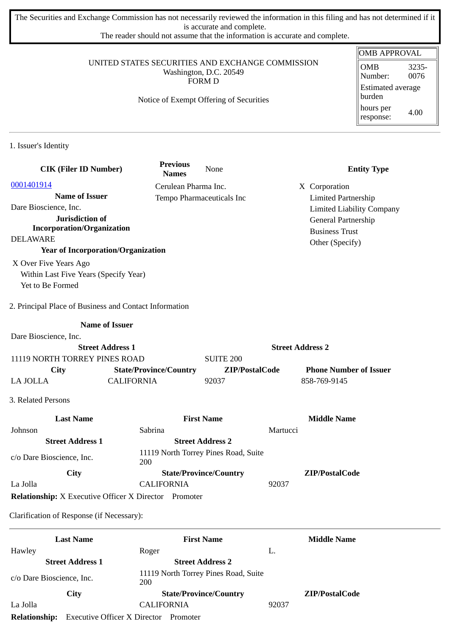The Securities and Exchange Commission has not necessarily reviewed the information in this filing and has not determined if it is accurate and complete.

The reader should not assume that the information is accurate and complete.

### UNITED STATES SECURITIES AND EXCHANGE COMMISSION Washington, D.C. 20549 FORM D

# Notice of Exempt Offering of Securities

#### OMB APPROVAL OMB Number: 3235- 0076 Estimated average burden hours per response: 4.00

1. Issuer's Identity

| <b>CIK (Filer ID Number)</b>                                 | <b>Previous</b><br><b>Names</b> | None                                 |                         | <b>Entity Type</b>                           |
|--------------------------------------------------------------|---------------------------------|--------------------------------------|-------------------------|----------------------------------------------|
| 0001401914                                                   |                                 | Cerulean Pharma Inc.                 |                         | X Corporation                                |
| <b>Name of Issuer</b>                                        |                                 | Tempo Pharmaceuticals Inc            |                         | <b>Limited Partnership</b>                   |
| Dare Bioscience, Inc.                                        |                                 |                                      |                         | <b>Limited Liability Company</b>             |
| Jurisdiction of<br><b>Incorporation/Organization</b>         |                                 |                                      |                         | General Partnership<br><b>Business Trust</b> |
| <b>DELAWARE</b>                                              |                                 |                                      |                         | Other (Specify)                              |
| <b>Year of Incorporation/Organization</b>                    |                                 |                                      |                         |                                              |
| X Over Five Years Ago                                        |                                 |                                      |                         |                                              |
| Within Last Five Years (Specify Year)                        |                                 |                                      |                         |                                              |
| Yet to Be Formed                                             |                                 |                                      |                         |                                              |
| 2. Principal Place of Business and Contact Information       |                                 |                                      |                         |                                              |
|                                                              | <b>Name of Issuer</b>           |                                      |                         |                                              |
| Dare Bioscience, Inc.                                        |                                 |                                      |                         |                                              |
|                                                              | <b>Street Address 1</b>         |                                      | <b>Street Address 2</b> |                                              |
| 11119 NORTH TORREY PINES ROAD                                |                                 | <b>SUITE 200</b>                     |                         |                                              |
| City                                                         | <b>State/Province/Country</b>   |                                      | ZIP/PostalCode          | <b>Phone Number of Issuer</b>                |
| <b>LA JOLLA</b>                                              | <b>CALIFORNIA</b>               | 92037                                |                         | 858-769-9145                                 |
| 3. Related Persons                                           |                                 |                                      |                         |                                              |
| <b>Last Name</b>                                             |                                 | <b>First Name</b>                    |                         | <b>Middle Name</b>                           |
| Johnson                                                      | Sabrina                         |                                      | Martucci                |                                              |
| <b>Street Address 1</b>                                      |                                 | <b>Street Address 2</b>              |                         |                                              |
| c/o Dare Bioscience, Inc.                                    | 200                             | 11119 North Torrey Pines Road, Suite |                         |                                              |
| City                                                         |                                 | <b>State/Province/Country</b>        |                         | ZIP/PostalCode                               |
| La Jolla                                                     | <b>CALIFORNIA</b>               |                                      | 92037                   |                                              |
| <b>Relationship:</b> X Executive Officer X Director Promoter |                                 |                                      |                         |                                              |
| Clarification of Response (if Necessary):                    |                                 |                                      |                         |                                              |

|                           | <b>Last Name</b>                    | <b>First Name</b>                           |       | <b>Middle Name</b> |
|---------------------------|-------------------------------------|---------------------------------------------|-------|--------------------|
| Hawley                    |                                     | Roger                                       | L.    |                    |
|                           | <b>Street Address 1</b>             | <b>Street Address 2</b>                     |       |                    |
| c/o Dare Bioscience, Inc. |                                     | 11119 North Torrey Pines Road, Suite<br>200 |       |                    |
|                           | City                                | <b>State/Province/Country</b>               |       | ZIP/PostalCode     |
| La Jolla                  |                                     | <b>CALIFORNIA</b>                           | 92037 |                    |
| <b>Relationship:</b>      | <b>Executive Officer X Director</b> | Promoter                                    |       |                    |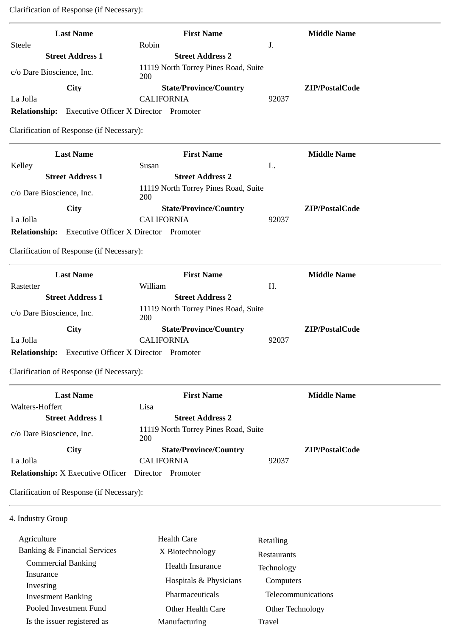Clarification of Response (if Necessary):

| <b>Last Name</b>                          | <b>First Name</b>                            | <b>Middle Name</b> |
|-------------------------------------------|----------------------------------------------|--------------------|
| Steele                                    | Robin                                        | J.                 |
| <b>Street Address 1</b>                   | <b>Street Address 2</b>                      |                    |
| c/o Dare Bioscience, Inc.                 | 11119 North Torrey Pines Road, Suite<br>200  |                    |
| City                                      | <b>State/Province/Country</b>                | ZIP/PostalCode     |
| La Jolla                                  | <b>CALIFORNIA</b>                            | 92037              |
| <b>Relationship:</b>                      | <b>Executive Officer X Director Promoter</b> |                    |
| Clarification of Response (if Necessary): |                                              |                    |
| <b>Last Name</b>                          | <b>First Name</b>                            | <b>Middle Name</b> |
| Kelley                                    | Susan                                        | L.                 |
| <b>Street Address 1</b>                   | <b>Street Address 2</b>                      |                    |
| c/o Dare Bioscience, Inc.                 | 11119 North Torrey Pines Road, Suite<br>200  |                    |
| <b>City</b>                               | <b>State/Province/Country</b>                | ZIP/PostalCode     |
| La Jolla                                  | <b>CALIFORNIA</b>                            | 92037              |
| <b>Relationship:</b>                      | <b>Executive Officer X Director Promoter</b> |                    |
| Clarification of Response (if Necessary): |                                              |                    |
| <b>Last Name</b>                          | <b>First Name</b>                            | <b>Middle Name</b> |
| Rastetter                                 | William                                      | H.                 |
| <b>Street Address 1</b>                   | <b>Street Address 2</b>                      |                    |
| c/o Dare Bioscience, Inc.                 | 11119 North Torrey Pines Road, Suite<br>200  |                    |
| City                                      | <b>State/Province/Country</b>                | ZIP/PostalCode     |
| La Jolla                                  | <b>CALIFORNIA</b>                            | 92037              |

**Relationship:** Executive Officer X Director Promoter

Clarification of Response (if Necessary):

| <b>Last Name</b>                         | <b>First Name</b>                           |       | <b>Middle Name</b> |
|------------------------------------------|---------------------------------------------|-------|--------------------|
| Walters-Hoffert                          | Lisa                                        |       |                    |
| <b>Street Address 1</b>                  | <b>Street Address 2</b>                     |       |                    |
| c/o Dare Bioscience, Inc.                | 11119 North Torrey Pines Road, Suite<br>200 |       |                    |
| <b>City</b>                              | <b>State/Province/Country</b>               |       | ZIP/PostalCode     |
| La Jolla                                 | <b>CALIFORNIA</b>                           | 92037 |                    |
| <b>Relationship:</b> X Executive Officer | Director<br>Promoter                        |       |                    |

Clarification of Response (if Necessary):

4. Industry Group

| <b>Health Care</b> | Retailing              |
|--------------------|------------------------|
| X Biotechnology    | <b>Restaurants</b>     |
| Health Insurance   | Technology             |
|                    | Computers              |
| Pharmaceuticals    | Telecommunications     |
| Other Health Care  | Other Technology       |
| Manufacturing      | Travel                 |
|                    | Hospitals & Physicians |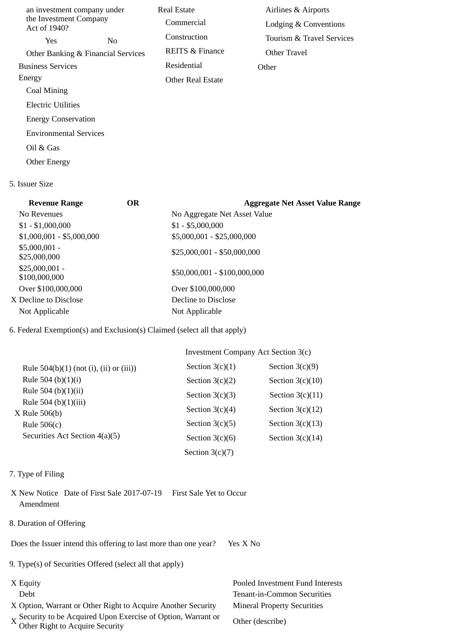| an investment company under            |                                    | <b>Real Estate</b>         | Airlines & Airports       |
|----------------------------------------|------------------------------------|----------------------------|---------------------------|
| the Investment Company<br>Act of 1940? |                                    | Commercial                 | Lodging & Conventions     |
| Yes.                                   | N <sub>0</sub>                     | Construction               | Tourism & Travel Services |
|                                        | Other Banking & Financial Services | <b>REITS &amp; Finance</b> | Other Travel              |
| <b>Business Services</b>               |                                    | Residential                | Other                     |
| Energy                                 |                                    | <b>Other Real Estate</b>   |                           |
| Coal Mining                            |                                    |                            |                           |
| Electric Utilities                     |                                    |                            |                           |
| <b>Energy Conservation</b>             |                                    |                            |                           |
| <b>Environmental Services</b>          |                                    |                            |                           |
| Oil & Gas                              |                                    |                            |                           |
| <b>Other Energy</b>                    |                                    |                            |                           |

## 5. Issuer Size

| <b>Revenue Range</b>             | <b>OR</b> | <b>Aggregate Net Asset Value Range</b> |
|----------------------------------|-----------|----------------------------------------|
| No Revenues                      |           | No Aggregate Net Asset Value           |
| $$1 - $1,000,000$                |           | $$1 - $5,000,000$                      |
| $$1,000,001 - $5,000,000$        |           | \$5,000,001 - \$25,000,000             |
| $$5,000,001 -$<br>\$25,000,000   |           | \$25,000,001 - \$50,000,000            |
| $$25,000,001 -$<br>\$100,000,000 |           | \$50,000,001 - \$100,000,000           |
| Over \$100,000,000               |           | Over \$100,000,000                     |
| X Decline to Disclose            |           | Decline to Disclose                    |
| Not Applicable                   |           | Not Applicable                         |

# 6. Federal Exemption(s) and Exclusion(s) Claimed (select all that apply)

|                                           | Investment Company Act Section 3(c) |                    |  |
|-------------------------------------------|-------------------------------------|--------------------|--|
| Rule $504(b)(1)$ (not (i), (ii) or (iii)) | Section $3(c)(1)$                   | Section $3(c)(9)$  |  |
| Rule 504 (b) $(1)(i)$                     | Section $3(c)(2)$                   | Section $3(c)(10)$ |  |
| Rule 504 (b) $(1)(ii)$                    | Section $3(c)(3)$                   | Section $3(c)(11)$ |  |
| Rule 504 (b)(1)(iii)<br>X Rule 506(b)     | Section $3(c)(4)$                   | Section $3(c)(12)$ |  |
| Rule $506(c)$                             | Section $3(c)(5)$                   | Section $3(c)(13)$ |  |
| Securities Act Section 4(a)(5)            | Section $3(c)(6)$                   | Section $3(c)(14)$ |  |
|                                           | Section $3(c)(7)$                   |                    |  |

# 7. Type of Filing

X New Notice Date of First Sale 2017-07-19 First Sale Yet to Occur Amendment

# 8. Duration of Offering

Does the Issuer intend this offering to last more than one year? Yes X No

9. Type(s) of Securities Offered (select all that apply)

- 
- X Option, Warrant or Other Right to Acquire Another Security Mineral Property Securities
- X Security to be Acquired Upon Exercise of Option, Warrant or Other (describe)<br>Other Right to Acquire Security

X Equity Pooled Investment Fund Interests Debt Tenant-in-Common Securities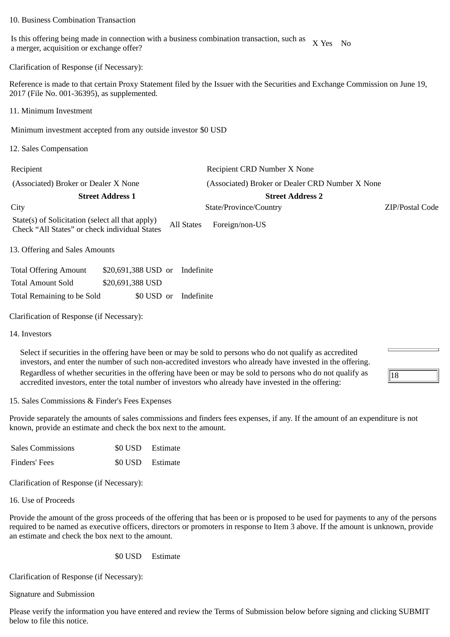### 10. Business Combination Transaction

Is this offering being made in connection with a business combination transaction, such as is this offering being made in connection with a business combination transaction, such as  $\begin{array}{cc} X \text{ Yes} \end{array}$  No a merger, acquisition or exchange offer?

Clarification of Response (if Necessary):

Reference is made to that certain Proxy Statement filed by the Issuer with the Securities and Exchange Commission on June 19, 2017 (File No. 001-36395), as supplemented.

11. Minimum Investment

Minimum investment accepted from any outside investor \$0 USD

12. Sales Compensation

| Recipient                                                                                         |            | Recipient CRD Number X None                     |                 |
|---------------------------------------------------------------------------------------------------|------------|-------------------------------------------------|-----------------|
| (Associated) Broker or Dealer X None                                                              |            | (Associated) Broker or Dealer CRD Number X None |                 |
| <b>Street Address 1</b>                                                                           |            | <b>Street Address 2</b>                         |                 |
| City                                                                                              |            | State/Province/Country                          | ZIP/Postal Code |
| State(s) of Solicitation (select all that apply)<br>Check "All States" or check individual States | All States | Foreign/non-US                                  |                 |
| 13. Offering and Sales Amounts                                                                    |            |                                                 |                 |

| <b>Total Offering Amount</b> | \$20,691,388 USD or Indefinite |  |
|------------------------------|--------------------------------|--|
| <b>Total Amount Sold</b>     | \$20,691,388 USD               |  |
| Total Remaining to be Sold   | \$0 USD or Indefinite          |  |

Clarification of Response (if Necessary):

14. Investors

Select if securities in the offering have been or may be sold to persons who do not qualify as accredited investors, and enter the number of such non-accredited investors who already have invested in the offering. Regardless of whether securities in the offering have been or may be sold to persons who do not qualify as accredited investors, enter the total number of investors who already have invested in the offering:

 $\sqrt{18}$ 

15. Sales Commissions & Finder's Fees Expenses

Provide separately the amounts of sales commissions and finders fees expenses, if any. If the amount of an expenditure is not known, provide an estimate and check the box next to the amount.

| <b>Sales Commissions</b> | \$0 USD Estimate |
|--------------------------|------------------|
| Finders' Fees            | \$0 USD Estimate |

Clarification of Response (if Necessary):

16. Use of Proceeds

Provide the amount of the gross proceeds of the offering that has been or is proposed to be used for payments to any of the persons required to be named as executive officers, directors or promoters in response to Item 3 above. If the amount is unknown, provide an estimate and check the box next to the amount.

\$0 USD Estimate

Clarification of Response (if Necessary):

Signature and Submission

Please verify the information you have entered and review the Terms of Submission below before signing and clicking SUBMIT below to file this notice.